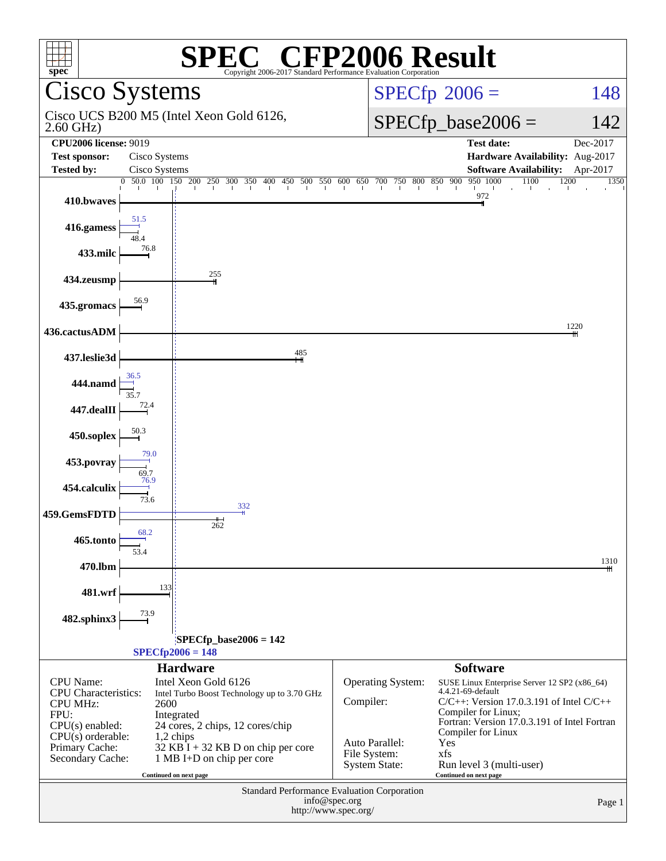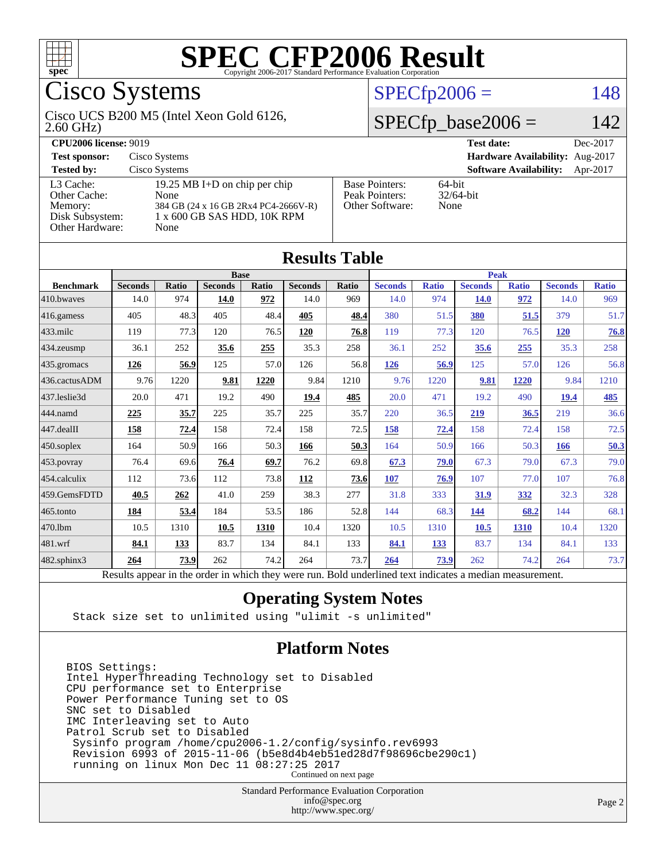

# Cisco Systems

#### 2.60 GHz) Cisco UCS B200 M5 (Intel Xeon Gold 6126,

#### **[Tested by:](http://www.spec.org/auto/cpu2006/Docs/result-fields.html#Testedby)** Cisco Systems **[Software Availability:](http://www.spec.org/auto/cpu2006/Docs/result-fields.html#SoftwareAvailability)** Apr-2017 [L3 Cache:](http://www.spec.org/auto/cpu2006/Docs/result-fields.html#L3Cache) 19.25 MB I+D on chip per chip<br>Other Cache: None [Other Cache:](http://www.spec.org/auto/cpu2006/Docs/result-fields.html#OtherCache) [Memory:](http://www.spec.org/auto/cpu2006/Docs/result-fields.html#Memory) 384 GB (24 x 16 GB 2Rx4 PC4-2666V-R) [Disk Subsystem:](http://www.spec.org/auto/cpu2006/Docs/result-fields.html#DiskSubsystem) 1 x 600 GB SAS HDD, 10K RPM [Other Hardware:](http://www.spec.org/auto/cpu2006/Docs/result-fields.html#OtherHardware) None

| <b>CPU2006 license: 9019</b> |                               |                       |        | Test date:                             | Dec-2017 |
|------------------------------|-------------------------------|-----------------------|--------|----------------------------------------|----------|
| <b>Test sponsor:</b>         | Cisco Systems                 |                       |        | <b>Hardware Availability:</b> Aug-2017 |          |
| <b>Tested by:</b>            | Cisco Systems                 |                       |        | <b>Software Availability:</b> Apr-2017 |          |
| L3 Cache:                    | 19.25 MB I+D on chip per chip | <b>Base Pointers:</b> | 64-bit |                                        |          |

#### [Peak Pointers:](http://www.spec.org/auto/cpu2006/Docs/result-fields.html#PeakPointers) 32/64-bit [Other Software:](http://www.spec.org/auto/cpu2006/Docs/result-fields.html#OtherSoftware) None

 $SPECTp2006 = 148$ 

 $SPECfp\_base2006 = 142$ 

| <b>Results Table</b>   |                                                                                                          |       |                |       |                |       |                |              |                |              |                |              |
|------------------------|----------------------------------------------------------------------------------------------------------|-------|----------------|-------|----------------|-------|----------------|--------------|----------------|--------------|----------------|--------------|
|                        | <b>Base</b>                                                                                              |       |                |       |                |       | <b>Peak</b>    |              |                |              |                |              |
| <b>Benchmark</b>       | <b>Seconds</b>                                                                                           | Ratio | <b>Seconds</b> | Ratio | <b>Seconds</b> | Ratio | <b>Seconds</b> | <b>Ratio</b> | <b>Seconds</b> | <b>Ratio</b> | <b>Seconds</b> | <b>Ratio</b> |
| 410.bwayes             | 14.0                                                                                                     | 974   | 14.0           | 972   | 14.0           | 969   | 14.0           | 974          | <b>14.0</b>    | 972          | 14.0           | 969          |
| $416$ .gamess          | 405                                                                                                      | 48.3  | 405            | 48.4  | 405            | 48.4  | 380            | 51.5         | 380            | 51.5         | 379            | 51.7         |
| $ 433 \text{.}$ milc   | 119                                                                                                      | 77.3  | 120            | 76.5  | 120            | 76.8  | 119            | 77.3         | 120            | 76.5         | <b>120</b>     | 76.8         |
| 434.zeusmp             | 36.1                                                                                                     | 252   | 35.6           | 255   | 35.3           | 258   | 36.1           | 252          | 35.6           | 255          | 35.3           | 258          |
| $435.\n$ gromacs       | 126                                                                                                      | 56.9  | 125            | 57.0  | 126            | 56.8  | 126            | 56.9         | 125            | 57.0         | 126            | 56.8         |
| 436.cactusADM          | 9.76                                                                                                     | 1220  | 9.81           | 1220  | 9.84           | 1210  | 9.76           | 1220         | 9.81           | 1220         | 9.84           | 1210         |
| 437.leslie3d           | 20.0                                                                                                     | 471   | 19.2           | 490   | 19.4           | 485   | 20.0           | 471          | 19.2           | 490          | 19.4           | <u>485</u>   |
| 444.namd               | 225                                                                                                      | 35.7  | 225            | 35.7  | 225            | 35.7  | 220            | 36.5         | 219            | 36.5         | 219            | 36.6         |
| $ 447 \text{.}$ dealII | 158                                                                                                      | 72.4  | 158            | 72.4  | 158            | 72.5  | 158            | 72.4         | 158            | 72.4         | 158            | 72.5         |
| $450$ .soplex          | 164                                                                                                      | 50.9  | 166            | 50.3  | 166            | 50.3  | 164            | 50.9         | 166            | 50.3         | 166            | 50.3         |
| $453$ .povray          | 76.4                                                                                                     | 69.6  | 76.4           | 69.7  | 76.2           | 69.8  | 67.3           | 79.0         | 67.3           | 79.0         | 67.3           | 79.0         |
| $454$ .calculix        | 112                                                                                                      | 73.6  | 112            | 73.8  | 112            | 73.6  | 107            | 76.9         | 107            | 77.0         | 107            | 76.8         |
| 459.GemsFDTD           | 40.5                                                                                                     | 262   | 41.0           | 259   | 38.3           | 277   | 31.8           | 333          | 31.9           | 332          | 32.3           | 328          |
| 465.tonto              | 184                                                                                                      | 53.4  | 184            | 53.5  | 186            | 52.8  | 144            | 68.3         | 144            | 68.2         | 144            | 68.1         |
| 470.1bm                | 10.5                                                                                                     | 1310  | 10.5           | 1310  | 10.4           | 1320  | 10.5           | 1310         | <b>10.5</b>    | 1310         | 10.4           | 1320         |
| 481.wrf                | 84.1                                                                                                     | 133   | 83.7           | 134   | 84.1           | 133   | 84.1           | 133          | 83.7           | 134          | 84.1           | 133          |
| 482.sphinx3            | 264                                                                                                      | 73.9  | 262            | 74.2  | 264            | 73.7  | 264            | 73.9         | 262            | 74.2         | 264            | 73.7         |
|                        | Results appear in the order in which they were run. Bold underlined text indicates a median measurement. |       |                |       |                |       |                |              |                |              |                |              |

### **[Operating System Notes](http://www.spec.org/auto/cpu2006/Docs/result-fields.html#OperatingSystemNotes)**

Stack size set to unlimited using "ulimit -s unlimited"

### **[Platform Notes](http://www.spec.org/auto/cpu2006/Docs/result-fields.html#PlatformNotes)**

BIOS Settings: Intel HyperThreading Technology set to Disabled CPU performance set to Enterprise Power Performance Tuning set to OS SNC set to Disabled IMC Interleaving set to Auto Patrol Scrub set to Disabled Sysinfo program /home/cpu2006-1.2/config/sysinfo.rev6993 Revision 6993 of 2015-11-06 (b5e8d4b4eb51ed28d7f98696cbe290c1) running on linux Mon Dec 11 08:27:25 2017 Continued on next page

> Standard Performance Evaluation Corporation [info@spec.org](mailto:info@spec.org) <http://www.spec.org/>

#### Page 2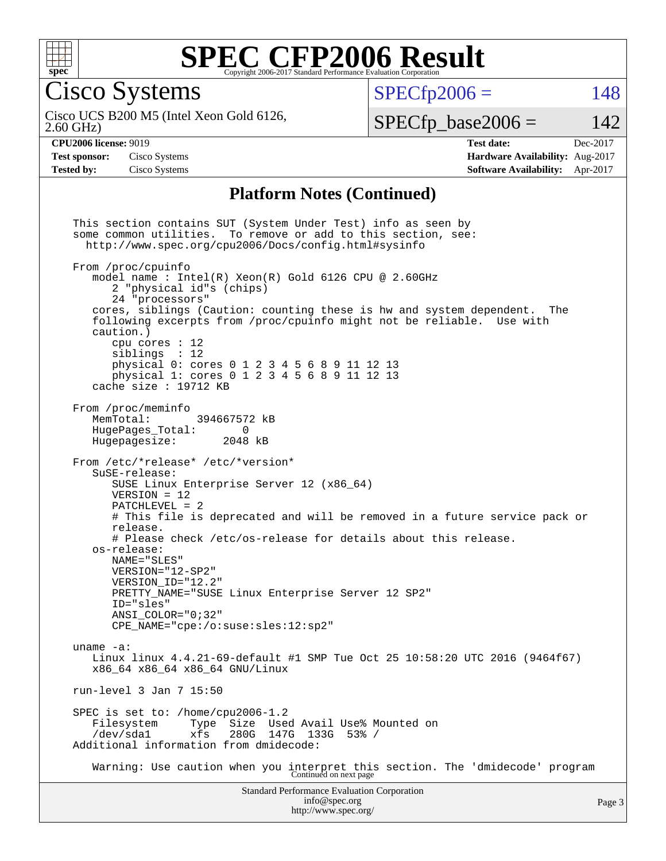

Cisco Systems

 $SPECTp2006 = 148$ 

2.60 GHz) Cisco UCS B200 M5 (Intel Xeon Gold 6126,

 $SPECTp\_base2006 = 142$ 

**[Test sponsor:](http://www.spec.org/auto/cpu2006/Docs/result-fields.html#Testsponsor)** Cisco Systems **[Hardware Availability:](http://www.spec.org/auto/cpu2006/Docs/result-fields.html#HardwareAvailability)** Aug-2017

**[CPU2006 license:](http://www.spec.org/auto/cpu2006/Docs/result-fields.html#CPU2006license)** 9019 **[Test date:](http://www.spec.org/auto/cpu2006/Docs/result-fields.html#Testdate)** Dec-2017 **[Tested by:](http://www.spec.org/auto/cpu2006/Docs/result-fields.html#Testedby)** Cisco Systems **[Software Availability:](http://www.spec.org/auto/cpu2006/Docs/result-fields.html#SoftwareAvailability)** Apr-2017

#### **[Platform Notes \(Continued\)](http://www.spec.org/auto/cpu2006/Docs/result-fields.html#PlatformNotes)**

Standard Performance Evaluation Corporation [info@spec.org](mailto:info@spec.org) This section contains SUT (System Under Test) info as seen by some common utilities. To remove or add to this section, see: <http://www.spec.org/cpu2006/Docs/config.html#sysinfo> From /proc/cpuinfo model name : Intel(R) Xeon(R) Gold 6126 CPU @ 2.60GHz 2 "physical id"s (chips) 24 "processors" cores, siblings (Caution: counting these is hw and system dependent. The following excerpts from /proc/cpuinfo might not be reliable. Use with caution.) cpu cores : 12 siblings : 12 physical 0: cores 0 1 2 3 4 5 6 8 9 11 12 13 physical 1: cores 0 1 2 3 4 5 6 8 9 11 12 13 cache size : 19712 KB From /proc/meminfo<br>MemTotal: 394667572 kB HugePages\_Total: 0 Hugepagesize: 2048 kB From /etc/\*release\* /etc/\*version\* SuSE-release: SUSE Linux Enterprise Server 12 (x86\_64) VERSION = 12 PATCHLEVEL = 2 # This file is deprecated and will be removed in a future service pack or release. # Please check /etc/os-release for details about this release. os-release: NAME="SLES" VERSION="12-SP2" VERSION\_ID="12.2" PRETTY\_NAME="SUSE Linux Enterprise Server 12 SP2" ID="sles" ANSI\_COLOR="0;32" CPE\_NAME="cpe:/o:suse:sles:12:sp2" uname -a: Linux linux 4.4.21-69-default #1 SMP Tue Oct 25 10:58:20 UTC 2016 (9464f67) x86\_64 x86\_64 x86\_64 GNU/Linux run-level 3 Jan 7 15:50 SPEC is set to: /home/cpu2006-1.2 Filesystem Type Size Used Avail Use% Mounted on /dev/sda1 xfs 280G 147G 133G 53% / Additional information from dmidecode: Warning: Use caution when you interpret this section. The 'dmidecode' program Continued on next page

<http://www.spec.org/>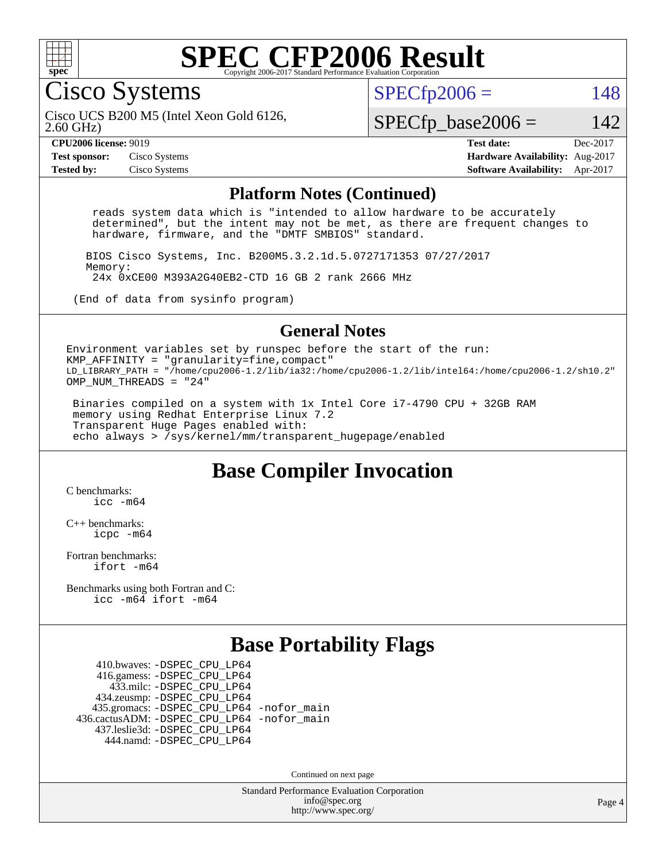

Cisco Systems

 $SPECTp2006 = 148$ 

2.60 GHz) Cisco UCS B200 M5 (Intel Xeon Gold 6126,

 $SPECTp\_base2006 = 142$ 

**[Test sponsor:](http://www.spec.org/auto/cpu2006/Docs/result-fields.html#Testsponsor)** Cisco Systems **[Hardware Availability:](http://www.spec.org/auto/cpu2006/Docs/result-fields.html#HardwareAvailability)** Aug-2017

**[CPU2006 license:](http://www.spec.org/auto/cpu2006/Docs/result-fields.html#CPU2006license)** 9019 **[Test date:](http://www.spec.org/auto/cpu2006/Docs/result-fields.html#Testdate)** Dec-2017 **[Tested by:](http://www.spec.org/auto/cpu2006/Docs/result-fields.html#Testedby)** Cisco Systems **[Software Availability:](http://www.spec.org/auto/cpu2006/Docs/result-fields.html#SoftwareAvailability)** Apr-2017

#### **[Platform Notes \(Continued\)](http://www.spec.org/auto/cpu2006/Docs/result-fields.html#PlatformNotes)**

 reads system data which is "intended to allow hardware to be accurately determined", but the intent may not be met, as there are frequent changes to hardware, firmware, and the "DMTF SMBIOS" standard.

 BIOS Cisco Systems, Inc. B200M5.3.2.1d.5.0727171353 07/27/2017 Memory: 24x 0xCE00 M393A2G40EB2-CTD 16 GB 2 rank 2666 MHz

(End of data from sysinfo program)

#### **[General Notes](http://www.spec.org/auto/cpu2006/Docs/result-fields.html#GeneralNotes)**

Environment variables set by runspec before the start of the run: KMP AFFINITY = "granularity=fine, compact" LD\_LIBRARY\_PATH = "/home/cpu2006-1.2/lib/ia32:/home/cpu2006-1.2/lib/intel64:/home/cpu2006-1.2/sh10.2" OMP NUM THREADS = "24"

 Binaries compiled on a system with 1x Intel Core i7-4790 CPU + 32GB RAM memory using Redhat Enterprise Linux 7.2 Transparent Huge Pages enabled with: echo always > /sys/kernel/mm/transparent\_hugepage/enabled

### **[Base Compiler Invocation](http://www.spec.org/auto/cpu2006/Docs/result-fields.html#BaseCompilerInvocation)**

[C benchmarks](http://www.spec.org/auto/cpu2006/Docs/result-fields.html#Cbenchmarks): [icc -m64](http://www.spec.org/cpu2006/results/res2017q4/cpu2006-20171211-50970.flags.html#user_CCbase_intel_icc_64bit_bda6cc9af1fdbb0edc3795bac97ada53)

[C++ benchmarks:](http://www.spec.org/auto/cpu2006/Docs/result-fields.html#CXXbenchmarks) [icpc -m64](http://www.spec.org/cpu2006/results/res2017q4/cpu2006-20171211-50970.flags.html#user_CXXbase_intel_icpc_64bit_fc66a5337ce925472a5c54ad6a0de310)

[Fortran benchmarks](http://www.spec.org/auto/cpu2006/Docs/result-fields.html#Fortranbenchmarks): [ifort -m64](http://www.spec.org/cpu2006/results/res2017q4/cpu2006-20171211-50970.flags.html#user_FCbase_intel_ifort_64bit_ee9d0fb25645d0210d97eb0527dcc06e)

[Benchmarks using both Fortran and C](http://www.spec.org/auto/cpu2006/Docs/result-fields.html#BenchmarksusingbothFortranandC): [icc -m64](http://www.spec.org/cpu2006/results/res2017q4/cpu2006-20171211-50970.flags.html#user_CC_FCbase_intel_icc_64bit_bda6cc9af1fdbb0edc3795bac97ada53) [ifort -m64](http://www.spec.org/cpu2006/results/res2017q4/cpu2006-20171211-50970.flags.html#user_CC_FCbase_intel_ifort_64bit_ee9d0fb25645d0210d97eb0527dcc06e)

### **[Base Portability Flags](http://www.spec.org/auto/cpu2006/Docs/result-fields.html#BasePortabilityFlags)**

 410.bwaves: [-DSPEC\\_CPU\\_LP64](http://www.spec.org/cpu2006/results/res2017q4/cpu2006-20171211-50970.flags.html#suite_basePORTABILITY410_bwaves_DSPEC_CPU_LP64) 416.gamess: [-DSPEC\\_CPU\\_LP64](http://www.spec.org/cpu2006/results/res2017q4/cpu2006-20171211-50970.flags.html#suite_basePORTABILITY416_gamess_DSPEC_CPU_LP64) 433.milc: [-DSPEC\\_CPU\\_LP64](http://www.spec.org/cpu2006/results/res2017q4/cpu2006-20171211-50970.flags.html#suite_basePORTABILITY433_milc_DSPEC_CPU_LP64) 434.zeusmp: [-DSPEC\\_CPU\\_LP64](http://www.spec.org/cpu2006/results/res2017q4/cpu2006-20171211-50970.flags.html#suite_basePORTABILITY434_zeusmp_DSPEC_CPU_LP64) 435.gromacs: [-DSPEC\\_CPU\\_LP64](http://www.spec.org/cpu2006/results/res2017q4/cpu2006-20171211-50970.flags.html#suite_basePORTABILITY435_gromacs_DSPEC_CPU_LP64) [-nofor\\_main](http://www.spec.org/cpu2006/results/res2017q4/cpu2006-20171211-50970.flags.html#user_baseLDPORTABILITY435_gromacs_f-nofor_main) 436.cactusADM: [-DSPEC\\_CPU\\_LP64](http://www.spec.org/cpu2006/results/res2017q4/cpu2006-20171211-50970.flags.html#suite_basePORTABILITY436_cactusADM_DSPEC_CPU_LP64) [-nofor\\_main](http://www.spec.org/cpu2006/results/res2017q4/cpu2006-20171211-50970.flags.html#user_baseLDPORTABILITY436_cactusADM_f-nofor_main) 437.leslie3d: [-DSPEC\\_CPU\\_LP64](http://www.spec.org/cpu2006/results/res2017q4/cpu2006-20171211-50970.flags.html#suite_basePORTABILITY437_leslie3d_DSPEC_CPU_LP64) 444.namd: [-DSPEC\\_CPU\\_LP64](http://www.spec.org/cpu2006/results/res2017q4/cpu2006-20171211-50970.flags.html#suite_basePORTABILITY444_namd_DSPEC_CPU_LP64)

Continued on next page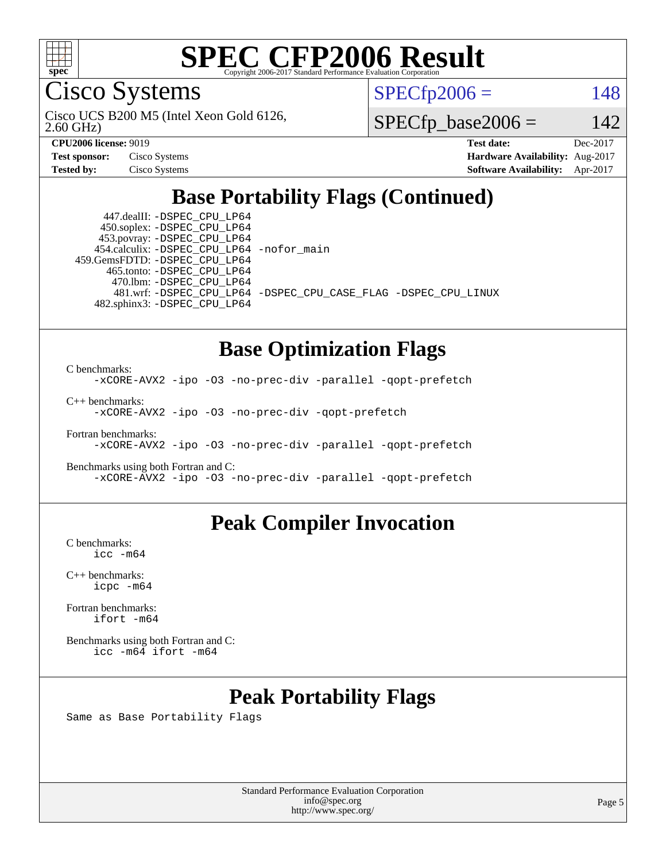

Cisco Systems

 $SPECTp2006 = 148$ 

2.60 GHz) Cisco UCS B200 M5 (Intel Xeon Gold 6126,

 $SPECTp\_base2006 = 142$ 

| <b>Test sponsor:</b> | Cisco Systems |
|----------------------|---------------|
| <b>Tested by:</b>    | Cisco Systems |

**[CPU2006 license:](http://www.spec.org/auto/cpu2006/Docs/result-fields.html#CPU2006license)** 9019 **[Test date:](http://www.spec.org/auto/cpu2006/Docs/result-fields.html#Testdate)** Dec-2017 **[Hardware Availability:](http://www.spec.org/auto/cpu2006/Docs/result-fields.html#HardwareAvailability)** Aug-2017 **[Software Availability:](http://www.spec.org/auto/cpu2006/Docs/result-fields.html#SoftwareAvailability)** Apr-2017

# **[Base Portability Flags \(Continued\)](http://www.spec.org/auto/cpu2006/Docs/result-fields.html#BasePortabilityFlags)**

 447.dealII: [-DSPEC\\_CPU\\_LP64](http://www.spec.org/cpu2006/results/res2017q4/cpu2006-20171211-50970.flags.html#suite_basePORTABILITY447_dealII_DSPEC_CPU_LP64) 450.soplex: [-DSPEC\\_CPU\\_LP64](http://www.spec.org/cpu2006/results/res2017q4/cpu2006-20171211-50970.flags.html#suite_basePORTABILITY450_soplex_DSPEC_CPU_LP64) 453.povray: [-DSPEC\\_CPU\\_LP64](http://www.spec.org/cpu2006/results/res2017q4/cpu2006-20171211-50970.flags.html#suite_basePORTABILITY453_povray_DSPEC_CPU_LP64) 454.calculix: [-DSPEC\\_CPU\\_LP64](http://www.spec.org/cpu2006/results/res2017q4/cpu2006-20171211-50970.flags.html#suite_basePORTABILITY454_calculix_DSPEC_CPU_LP64) [-nofor\\_main](http://www.spec.org/cpu2006/results/res2017q4/cpu2006-20171211-50970.flags.html#user_baseLDPORTABILITY454_calculix_f-nofor_main) 459.GemsFDTD: [-DSPEC\\_CPU\\_LP64](http://www.spec.org/cpu2006/results/res2017q4/cpu2006-20171211-50970.flags.html#suite_basePORTABILITY459_GemsFDTD_DSPEC_CPU_LP64) 465.tonto: [-DSPEC\\_CPU\\_LP64](http://www.spec.org/cpu2006/results/res2017q4/cpu2006-20171211-50970.flags.html#suite_basePORTABILITY465_tonto_DSPEC_CPU_LP64) 470.lbm: [-DSPEC\\_CPU\\_LP64](http://www.spec.org/cpu2006/results/res2017q4/cpu2006-20171211-50970.flags.html#suite_basePORTABILITY470_lbm_DSPEC_CPU_LP64) 482.sphinx3: [-DSPEC\\_CPU\\_LP64](http://www.spec.org/cpu2006/results/res2017q4/cpu2006-20171211-50970.flags.html#suite_basePORTABILITY482_sphinx3_DSPEC_CPU_LP64)

481.wrf: [-DSPEC\\_CPU\\_LP64](http://www.spec.org/cpu2006/results/res2017q4/cpu2006-20171211-50970.flags.html#suite_basePORTABILITY481_wrf_DSPEC_CPU_LP64) [-DSPEC\\_CPU\\_CASE\\_FLAG](http://www.spec.org/cpu2006/results/res2017q4/cpu2006-20171211-50970.flags.html#b481.wrf_baseCPORTABILITY_DSPEC_CPU_CASE_FLAG) [-DSPEC\\_CPU\\_LINUX](http://www.spec.org/cpu2006/results/res2017q4/cpu2006-20171211-50970.flags.html#b481.wrf_baseCPORTABILITY_DSPEC_CPU_LINUX)

# **[Base Optimization Flags](http://www.spec.org/auto/cpu2006/Docs/result-fields.html#BaseOptimizationFlags)**

[C benchmarks](http://www.spec.org/auto/cpu2006/Docs/result-fields.html#Cbenchmarks):

[-xCORE-AVX2](http://www.spec.org/cpu2006/results/res2017q4/cpu2006-20171211-50970.flags.html#user_CCbase_f-xCORE-AVX2) [-ipo](http://www.spec.org/cpu2006/results/res2017q4/cpu2006-20171211-50970.flags.html#user_CCbase_f-ipo) [-O3](http://www.spec.org/cpu2006/results/res2017q4/cpu2006-20171211-50970.flags.html#user_CCbase_f-O3) [-no-prec-div](http://www.spec.org/cpu2006/results/res2017q4/cpu2006-20171211-50970.flags.html#user_CCbase_f-no-prec-div) [-parallel](http://www.spec.org/cpu2006/results/res2017q4/cpu2006-20171211-50970.flags.html#user_CCbase_f-parallel) [-qopt-prefetch](http://www.spec.org/cpu2006/results/res2017q4/cpu2006-20171211-50970.flags.html#user_CCbase_f-qopt-prefetch)

[C++ benchmarks:](http://www.spec.org/auto/cpu2006/Docs/result-fields.html#CXXbenchmarks) [-xCORE-AVX2](http://www.spec.org/cpu2006/results/res2017q4/cpu2006-20171211-50970.flags.html#user_CXXbase_f-xCORE-AVX2) [-ipo](http://www.spec.org/cpu2006/results/res2017q4/cpu2006-20171211-50970.flags.html#user_CXXbase_f-ipo) [-O3](http://www.spec.org/cpu2006/results/res2017q4/cpu2006-20171211-50970.flags.html#user_CXXbase_f-O3) [-no-prec-div](http://www.spec.org/cpu2006/results/res2017q4/cpu2006-20171211-50970.flags.html#user_CXXbase_f-no-prec-div) [-qopt-prefetch](http://www.spec.org/cpu2006/results/res2017q4/cpu2006-20171211-50970.flags.html#user_CXXbase_f-qopt-prefetch)

[Fortran benchmarks](http://www.spec.org/auto/cpu2006/Docs/result-fields.html#Fortranbenchmarks): [-xCORE-AVX2](http://www.spec.org/cpu2006/results/res2017q4/cpu2006-20171211-50970.flags.html#user_FCbase_f-xCORE-AVX2) [-ipo](http://www.spec.org/cpu2006/results/res2017q4/cpu2006-20171211-50970.flags.html#user_FCbase_f-ipo) [-O3](http://www.spec.org/cpu2006/results/res2017q4/cpu2006-20171211-50970.flags.html#user_FCbase_f-O3) [-no-prec-div](http://www.spec.org/cpu2006/results/res2017q4/cpu2006-20171211-50970.flags.html#user_FCbase_f-no-prec-div) [-parallel](http://www.spec.org/cpu2006/results/res2017q4/cpu2006-20171211-50970.flags.html#user_FCbase_f-parallel) [-qopt-prefetch](http://www.spec.org/cpu2006/results/res2017q4/cpu2006-20171211-50970.flags.html#user_FCbase_f-qopt-prefetch)

[Benchmarks using both Fortran and C](http://www.spec.org/auto/cpu2006/Docs/result-fields.html#BenchmarksusingbothFortranandC): [-xCORE-AVX2](http://www.spec.org/cpu2006/results/res2017q4/cpu2006-20171211-50970.flags.html#user_CC_FCbase_f-xCORE-AVX2) [-ipo](http://www.spec.org/cpu2006/results/res2017q4/cpu2006-20171211-50970.flags.html#user_CC_FCbase_f-ipo) [-O3](http://www.spec.org/cpu2006/results/res2017q4/cpu2006-20171211-50970.flags.html#user_CC_FCbase_f-O3) [-no-prec-div](http://www.spec.org/cpu2006/results/res2017q4/cpu2006-20171211-50970.flags.html#user_CC_FCbase_f-no-prec-div) [-parallel](http://www.spec.org/cpu2006/results/res2017q4/cpu2006-20171211-50970.flags.html#user_CC_FCbase_f-parallel) [-qopt-prefetch](http://www.spec.org/cpu2006/results/res2017q4/cpu2006-20171211-50970.flags.html#user_CC_FCbase_f-qopt-prefetch)

### **[Peak Compiler Invocation](http://www.spec.org/auto/cpu2006/Docs/result-fields.html#PeakCompilerInvocation)**

[C benchmarks](http://www.spec.org/auto/cpu2006/Docs/result-fields.html#Cbenchmarks): [icc -m64](http://www.spec.org/cpu2006/results/res2017q4/cpu2006-20171211-50970.flags.html#user_CCpeak_intel_icc_64bit_bda6cc9af1fdbb0edc3795bac97ada53)

[C++ benchmarks:](http://www.spec.org/auto/cpu2006/Docs/result-fields.html#CXXbenchmarks) [icpc -m64](http://www.spec.org/cpu2006/results/res2017q4/cpu2006-20171211-50970.flags.html#user_CXXpeak_intel_icpc_64bit_fc66a5337ce925472a5c54ad6a0de310)

[Fortran benchmarks](http://www.spec.org/auto/cpu2006/Docs/result-fields.html#Fortranbenchmarks): [ifort -m64](http://www.spec.org/cpu2006/results/res2017q4/cpu2006-20171211-50970.flags.html#user_FCpeak_intel_ifort_64bit_ee9d0fb25645d0210d97eb0527dcc06e)

[Benchmarks using both Fortran and C](http://www.spec.org/auto/cpu2006/Docs/result-fields.html#BenchmarksusingbothFortranandC): [icc -m64](http://www.spec.org/cpu2006/results/res2017q4/cpu2006-20171211-50970.flags.html#user_CC_FCpeak_intel_icc_64bit_bda6cc9af1fdbb0edc3795bac97ada53) [ifort -m64](http://www.spec.org/cpu2006/results/res2017q4/cpu2006-20171211-50970.flags.html#user_CC_FCpeak_intel_ifort_64bit_ee9d0fb25645d0210d97eb0527dcc06e)

# **[Peak Portability Flags](http://www.spec.org/auto/cpu2006/Docs/result-fields.html#PeakPortabilityFlags)**

Same as Base Portability Flags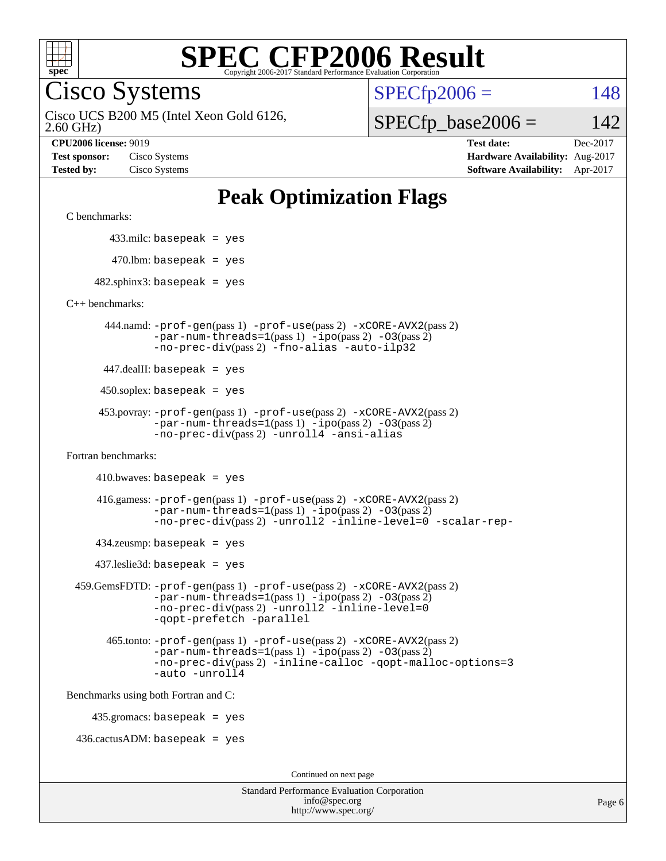

Cisco Systems

 $SPECTp2006 = 148$ 

2.60 GHz) Cisco UCS B200 M5 (Intel Xeon Gold 6126,

 $SPECfp\_base2006 = 142$ 

**[CPU2006 license:](http://www.spec.org/auto/cpu2006/Docs/result-fields.html#CPU2006license)** 9019 **[Test date:](http://www.spec.org/auto/cpu2006/Docs/result-fields.html#Testdate)** Dec-2017 **[Test sponsor:](http://www.spec.org/auto/cpu2006/Docs/result-fields.html#Testsponsor)** Cisco Systems **[Hardware Availability:](http://www.spec.org/auto/cpu2006/Docs/result-fields.html#HardwareAvailability)** Aug-2017 **[Tested by:](http://www.spec.org/auto/cpu2006/Docs/result-fields.html#Testedby)** Cisco Systems **[Software Availability:](http://www.spec.org/auto/cpu2006/Docs/result-fields.html#SoftwareAvailability)** Apr-2017

### **[Peak Optimization Flags](http://www.spec.org/auto/cpu2006/Docs/result-fields.html#PeakOptimizationFlags)**

[C benchmarks](http://www.spec.org/auto/cpu2006/Docs/result-fields.html#Cbenchmarks):

433.milc: basepeak = yes

 $470.$ lbm: basepeak = yes

 $482$ .sphinx3: basepeak = yes

[C++ benchmarks:](http://www.spec.org/auto/cpu2006/Docs/result-fields.html#CXXbenchmarks)

 444.namd: [-prof-gen](http://www.spec.org/cpu2006/results/res2017q4/cpu2006-20171211-50970.flags.html#user_peakPASS1_CXXFLAGSPASS1_LDFLAGS444_namd_prof_gen_e43856698f6ca7b7e442dfd80e94a8fc)(pass 1) [-prof-use](http://www.spec.org/cpu2006/results/res2017q4/cpu2006-20171211-50970.flags.html#user_peakPASS2_CXXFLAGSPASS2_LDFLAGS444_namd_prof_use_bccf7792157ff70d64e32fe3e1250b55)(pass 2) [-xCORE-AVX2](http://www.spec.org/cpu2006/results/res2017q4/cpu2006-20171211-50970.flags.html#user_peakPASS2_CXXFLAGSPASS2_LDFLAGS444_namd_f-xCORE-AVX2)(pass 2)  $-par-num-threads=1(pass 1) -ipo(pass 2) -O3(pass 2)$  $-par-num-threads=1(pass 1) -ipo(pass 2) -O3(pass 2)$  $-par-num-threads=1(pass 1) -ipo(pass 2) -O3(pass 2)$  $-par-num-threads=1(pass 1) -ipo(pass 2) -O3(pass 2)$  $-par-num-threads=1(pass 1) -ipo(pass 2) -O3(pass 2)$  $-par-num-threads=1(pass 1) -ipo(pass 2) -O3(pass 2)$ [-no-prec-div](http://www.spec.org/cpu2006/results/res2017q4/cpu2006-20171211-50970.flags.html#user_peakPASS2_CXXFLAGSPASS2_LDFLAGS444_namd_f-no-prec-div)(pass 2) [-fno-alias](http://www.spec.org/cpu2006/results/res2017q4/cpu2006-20171211-50970.flags.html#user_peakCXXOPTIMIZEOPTIMIZE444_namd_f-no-alias_694e77f6c5a51e658e82ccff53a9e63a) [-auto-ilp32](http://www.spec.org/cpu2006/results/res2017q4/cpu2006-20171211-50970.flags.html#user_peakCXXOPTIMIZE444_namd_f-auto-ilp32)

447.dealII: basepeak = yes

 $450$ .soplex: basepeak = yes

 453.povray: [-prof-gen](http://www.spec.org/cpu2006/results/res2017q4/cpu2006-20171211-50970.flags.html#user_peakPASS1_CXXFLAGSPASS1_LDFLAGS453_povray_prof_gen_e43856698f6ca7b7e442dfd80e94a8fc)(pass 1) [-prof-use](http://www.spec.org/cpu2006/results/res2017q4/cpu2006-20171211-50970.flags.html#user_peakPASS2_CXXFLAGSPASS2_LDFLAGS453_povray_prof_use_bccf7792157ff70d64e32fe3e1250b55)(pass 2) [-xCORE-AVX2](http://www.spec.org/cpu2006/results/res2017q4/cpu2006-20171211-50970.flags.html#user_peakPASS2_CXXFLAGSPASS2_LDFLAGS453_povray_f-xCORE-AVX2)(pass 2)  $-par-num-threads=1(pass 1) -ipo(pass 2) -O3(pass 2)$  $-par-num-threads=1(pass 1) -ipo(pass 2) -O3(pass 2)$  $-par-num-threads=1(pass 1) -ipo(pass 2) -O3(pass 2)$  $-par-num-threads=1(pass 1) -ipo(pass 2) -O3(pass 2)$  $-par-num-threads=1(pass 1) -ipo(pass 2) -O3(pass 2)$  $-par-num-threads=1(pass 1) -ipo(pass 2) -O3(pass 2)$ [-no-prec-div](http://www.spec.org/cpu2006/results/res2017q4/cpu2006-20171211-50970.flags.html#user_peakPASS2_CXXFLAGSPASS2_LDFLAGS453_povray_f-no-prec-div)(pass 2) [-unroll4](http://www.spec.org/cpu2006/results/res2017q4/cpu2006-20171211-50970.flags.html#user_peakCXXOPTIMIZE453_povray_f-unroll_4e5e4ed65b7fd20bdcd365bec371b81f) [-ansi-alias](http://www.spec.org/cpu2006/results/res2017q4/cpu2006-20171211-50970.flags.html#user_peakCXXOPTIMIZE453_povray_f-ansi-alias)

[Fortran benchmarks](http://www.spec.org/auto/cpu2006/Docs/result-fields.html#Fortranbenchmarks):

 $410.bwaves: basepeak = yes$ 

 416.gamess: [-prof-gen](http://www.spec.org/cpu2006/results/res2017q4/cpu2006-20171211-50970.flags.html#user_peakPASS1_FFLAGSPASS1_LDFLAGS416_gamess_prof_gen_e43856698f6ca7b7e442dfd80e94a8fc)(pass 1) [-prof-use](http://www.spec.org/cpu2006/results/res2017q4/cpu2006-20171211-50970.flags.html#user_peakPASS2_FFLAGSPASS2_LDFLAGS416_gamess_prof_use_bccf7792157ff70d64e32fe3e1250b55)(pass 2) [-xCORE-AVX2](http://www.spec.org/cpu2006/results/res2017q4/cpu2006-20171211-50970.flags.html#user_peakPASS2_FFLAGSPASS2_LDFLAGS416_gamess_f-xCORE-AVX2)(pass 2)  $-par-num-threads=1(pass 1) -ipo(pass 2) -O3(pass 2)$  $-par-num-threads=1(pass 1) -ipo(pass 2) -O3(pass 2)$  $-par-num-threads=1(pass 1) -ipo(pass 2) -O3(pass 2)$  $-par-num-threads=1(pass 1) -ipo(pass 2) -O3(pass 2)$  $-par-num-threads=1(pass 1) -ipo(pass 2) -O3(pass 2)$  $-par-num-threads=1(pass 1) -ipo(pass 2) -O3(pass 2)$ [-no-prec-div](http://www.spec.org/cpu2006/results/res2017q4/cpu2006-20171211-50970.flags.html#user_peakPASS2_FFLAGSPASS2_LDFLAGS416_gamess_f-no-prec-div)(pass 2) [-unroll2](http://www.spec.org/cpu2006/results/res2017q4/cpu2006-20171211-50970.flags.html#user_peakOPTIMIZE416_gamess_f-unroll_784dae83bebfb236979b41d2422d7ec2) [-inline-level=0](http://www.spec.org/cpu2006/results/res2017q4/cpu2006-20171211-50970.flags.html#user_peakOPTIMIZE416_gamess_f-inline-level_318d07a09274ad25e8d15dbfaa68ba50) [-scalar-rep-](http://www.spec.org/cpu2006/results/res2017q4/cpu2006-20171211-50970.flags.html#user_peakOPTIMIZE416_gamess_f-disablescalarrep_abbcad04450fb118e4809c81d83c8a1d)

 $434$ .zeusmp: basepeak = yes

437.leslie3d: basepeak = yes

```
 459.GemsFDTD: -prof-gen(pass 1) -prof-use(pass 2) -xCORE-AVX2(pass 2)
 -par-num-threads=1(pass 1) -ipo(pass 2) -O3(pass 2)
 -no-prec-div(pass 2) -unroll2 -inline-level=0
 -qopt-prefetch -parallel
```
 465.tonto: [-prof-gen](http://www.spec.org/cpu2006/results/res2017q4/cpu2006-20171211-50970.flags.html#user_peakPASS1_FFLAGSPASS1_LDFLAGS465_tonto_prof_gen_e43856698f6ca7b7e442dfd80e94a8fc)(pass 1) [-prof-use](http://www.spec.org/cpu2006/results/res2017q4/cpu2006-20171211-50970.flags.html#user_peakPASS2_FFLAGSPASS2_LDFLAGS465_tonto_prof_use_bccf7792157ff70d64e32fe3e1250b55)(pass 2) [-xCORE-AVX2](http://www.spec.org/cpu2006/results/res2017q4/cpu2006-20171211-50970.flags.html#user_peakPASS2_FFLAGSPASS2_LDFLAGS465_tonto_f-xCORE-AVX2)(pass 2)  $-par-num-threads=1(pass 1) -ipo(pass 2) -O3(pass 2)$  $-par-num-threads=1(pass 1) -ipo(pass 2) -O3(pass 2)$  $-par-num-threads=1(pass 1) -ipo(pass 2) -O3(pass 2)$  $-par-num-threads=1(pass 1) -ipo(pass 2) -O3(pass 2)$  $-par-num-threads=1(pass 1) -ipo(pass 2) -O3(pass 2)$  $-par-num-threads=1(pass 1) -ipo(pass 2) -O3(pass 2)$ [-no-prec-div](http://www.spec.org/cpu2006/results/res2017q4/cpu2006-20171211-50970.flags.html#user_peakPASS2_FFLAGSPASS2_LDFLAGS465_tonto_f-no-prec-div)(pass 2) [-inline-calloc](http://www.spec.org/cpu2006/results/res2017q4/cpu2006-20171211-50970.flags.html#user_peakOPTIMIZE465_tonto_f-inline-calloc) [-qopt-malloc-options=3](http://www.spec.org/cpu2006/results/res2017q4/cpu2006-20171211-50970.flags.html#user_peakOPTIMIZE465_tonto_f-qopt-malloc-options_0fcb435012e78f27d57f473818e45fe4) [-auto](http://www.spec.org/cpu2006/results/res2017q4/cpu2006-20171211-50970.flags.html#user_peakOPTIMIZE465_tonto_f-auto) [-unroll4](http://www.spec.org/cpu2006/results/res2017q4/cpu2006-20171211-50970.flags.html#user_peakOPTIMIZE465_tonto_f-unroll_4e5e4ed65b7fd20bdcd365bec371b81f)

[Benchmarks using both Fortran and C](http://www.spec.org/auto/cpu2006/Docs/result-fields.html#BenchmarksusingbothFortranandC):

435.gromacs: basepeak = yes

 $436.cactusADM:basepeak = yes$ 

Continued on next page